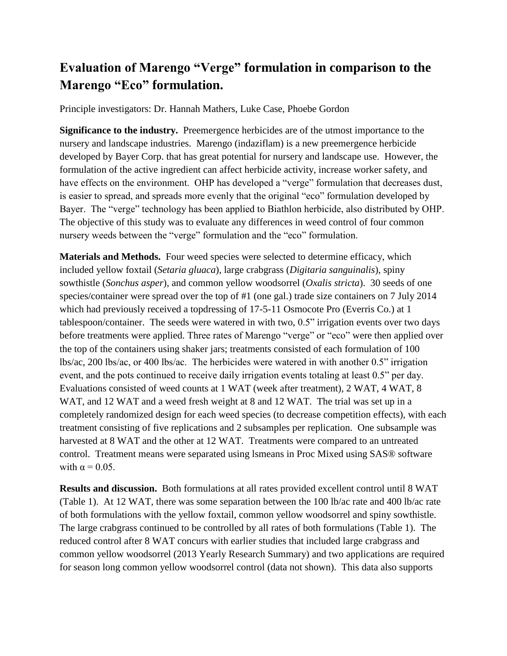## **Evaluation of Marengo "Verge" formulation in comparison to the Marengo "Eco" formulation.**

Principle investigators: Dr. Hannah Mathers, Luke Case, Phoebe Gordon

**Significance to the industry.** Preemergence herbicides are of the utmost importance to the nursery and landscape industries. Marengo (indaziflam) is a new preemergence herbicide developed by Bayer Corp. that has great potential for nursery and landscape use. However, the formulation of the active ingredient can affect herbicide activity, increase worker safety, and have effects on the environment. OHP has developed a "verge" formulation that decreases dust, is easier to spread, and spreads more evenly that the original "eco" formulation developed by Bayer. The "verge" technology has been applied to Biathlon herbicide, also distributed by OHP. The objective of this study was to evaluate any differences in weed control of four common nursery weeds between the "verge" formulation and the "eco" formulation.

**Materials and Methods.** Four weed species were selected to determine efficacy, which included yellow foxtail (*Setaria gluaca*), large crabgrass (*Digitaria sanguinalis*), spiny sowthistle (*Sonchus asper*), and common yellow woodsorrel (*Oxalis stricta*). 30 seeds of one species/container were spread over the top of #1 (one gal.) trade size containers on 7 July 2014 which had previously received a topdressing of 17-5-11 Osmocote Pro (Everris Co.) at 1 tablespoon/container. The seeds were watered in with two, 0.5" irrigation events over two days before treatments were applied. Three rates of Marengo "verge" or "eco" were then applied over the top of the containers using shaker jars; treatments consisted of each formulation of 100 lbs/ac, 200 lbs/ac, or 400 lbs/ac. The herbicides were watered in with another 0.5" irrigation event, and the pots continued to receive daily irrigation events totaling at least 0.5" per day. Evaluations consisted of weed counts at 1 WAT (week after treatment), 2 WAT, 4 WAT, 8 WAT, and 12 WAT and a weed fresh weight at 8 and 12 WAT. The trial was set up in a completely randomized design for each weed species (to decrease competition effects), with each treatment consisting of five replications and 2 subsamples per replication. One subsample was harvested at 8 WAT and the other at 12 WAT. Treatments were compared to an untreated control. Treatment means were separated using lsmeans in Proc Mixed using SAS® software with  $\alpha = 0.05$ .

**Results and discussion.** Both formulations at all rates provided excellent control until 8 WAT (Table 1). At 12 WAT, there was some separation between the 100 lb/ac rate and 400 lb/ac rate of both formulations with the yellow foxtail, common yellow woodsorrel and spiny sowthistle. The large crabgrass continued to be controlled by all rates of both formulations (Table 1). The reduced control after 8 WAT concurs with earlier studies that included large crabgrass and common yellow woodsorrel (2013 Yearly Research Summary) and two applications are required for season long common yellow woodsorrel control (data not shown). This data also supports